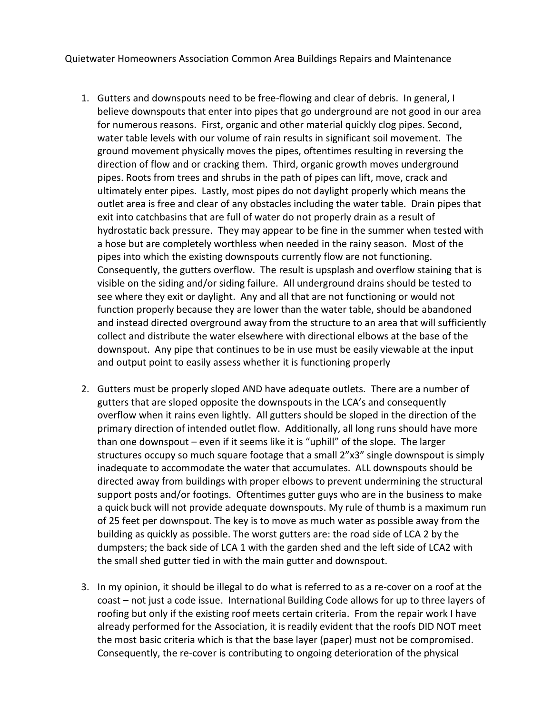Quietwater Homeowners Association Common Area Buildings Repairs and Maintenance

- 1. Gutters and downspouts need to be free-flowing and clear of debris. In general, I believe downspouts that enter into pipes that go underground are not good in our area for numerous reasons. First, organic and other material quickly clog pipes. Second, water table levels with our volume of rain results in significant soil movement. The ground movement physically moves the pipes, oftentimes resulting in reversing the direction of flow and or cracking them. Third, organic growth moves underground pipes. Roots from trees and shrubs in the path of pipes can lift, move, crack and ultimately enter pipes. Lastly, most pipes do not daylight properly which means the outlet area is free and clear of any obstacles including the water table. Drain pipes that exit into catchbasins that are full of water do not properly drain as a result of hydrostatic back pressure. They may appear to be fine in the summer when tested with a hose but are completely worthless when needed in the rainy season. Most of the pipes into which the existing downspouts currently flow are not functioning. Consequently, the gutters overflow. The result is upsplash and overflow staining that is visible on the siding and/or siding failure. All underground drains should be tested to see where they exit or daylight. Any and all that are not functioning or would not function properly because they are lower than the water table, should be abandoned and instead directed overground away from the structure to an area that will sufficiently collect and distribute the water elsewhere with directional elbows at the base of the downspout. Any pipe that continues to be in use must be easily viewable at the input and output point to easily assess whether it is functioning properly
- 2. Gutters must be properly sloped AND have adequate outlets. There are a number of gutters that are sloped opposite the downspouts in the LCA's and consequently overflow when it rains even lightly. All gutters should be sloped in the direction of the primary direction of intended outlet flow. Additionally, all long runs should have more than one downspout – even if it seems like it is "uphill" of the slope. The larger structures occupy so much square footage that a small 2"x3" single downspout is simply inadequate to accommodate the water that accumulates. ALL downspouts should be directed away from buildings with proper elbows to prevent undermining the structural support posts and/or footings. Oftentimes gutter guys who are in the business to make a quick buck will not provide adequate downspouts. My rule of thumb is a maximum run of 25 feet per downspout. The key is to move as much water as possible away from the building as quickly as possible. The worst gutters are: the road side of LCA 2 by the dumpsters; the back side of LCA 1 with the garden shed and the left side of LCA2 with the small shed gutter tied in with the main gutter and downspout.
- 3. In my opinion, it should be illegal to do what is referred to as a re-cover on a roof at the coast – not just a code issue. International Building Code allows for up to three layers of roofing but only if the existing roof meets certain criteria. From the repair work I have already performed for the Association, it is readily evident that the roofs DID NOT meet the most basic criteria which is that the base layer (paper) must not be compromised. Consequently, the re-cover is contributing to ongoing deterioration of the physical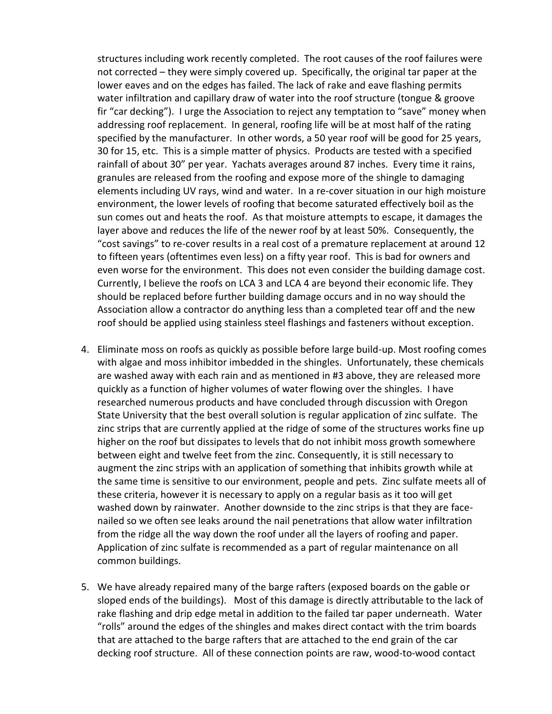structures including work recently completed. The root causes of the roof failures were not corrected – they were simply covered up. Specifically, the original tar paper at the lower eaves and on the edges has failed. The lack of rake and eave flashing permits water infiltration and capillary draw of water into the roof structure (tongue & groove fir "car decking"). I urge the Association to reject any temptation to "save" money when addressing roof replacement. In general, roofing life will be at most half of the rating specified by the manufacturer. In other words, a 50 year roof will be good for 25 years, 30 for 15, etc. This is a simple matter of physics. Products are tested with a specified rainfall of about 30" per year. Yachats averages around 87 inches. Every time it rains, granules are released from the roofing and expose more of the shingle to damaging elements including UV rays, wind and water. In a re-cover situation in our high moisture environment, the lower levels of roofing that become saturated effectively boil as the sun comes out and heats the roof. As that moisture attempts to escape, it damages the layer above and reduces the life of the newer roof by at least 50%. Consequently, the "cost savings" to re-cover results in a real cost of a premature replacement at around 12 to fifteen years (oftentimes even less) on a fifty year roof. This is bad for owners and even worse for the environment. This does not even consider the building damage cost. Currently, I believe the roofs on LCA 3 and LCA 4 are beyond their economic life. They should be replaced before further building damage occurs and in no way should the Association allow a contractor do anything less than a completed tear off and the new roof should be applied using stainless steel flashings and fasteners without exception.

- 4. Eliminate moss on roofs as quickly as possible before large build-up. Most roofing comes with algae and moss inhibitor imbedded in the shingles. Unfortunately, these chemicals are washed away with each rain and as mentioned in #3 above, they are released more quickly as a function of higher volumes of water flowing over the shingles. I have researched numerous products and have concluded through discussion with Oregon State University that the best overall solution is regular application of zinc sulfate. The zinc strips that are currently applied at the ridge of some of the structures works fine up higher on the roof but dissipates to levels that do not inhibit moss growth somewhere between eight and twelve feet from the zinc. Consequently, it is still necessary to augment the zinc strips with an application of something that inhibits growth while at the same time is sensitive to our environment, people and pets. Zinc sulfate meets all of these criteria, however it is necessary to apply on a regular basis as it too will get washed down by rainwater. Another downside to the zinc strips is that they are facenailed so we often see leaks around the nail penetrations that allow water infiltration from the ridge all the way down the roof under all the layers of roofing and paper. Application of zinc sulfate is recommended as a part of regular maintenance on all common buildings.
- 5. We have already repaired many of the barge rafters (exposed boards on the gable or sloped ends of the buildings). Most of this damage is directly attributable to the lack of rake flashing and drip edge metal in addition to the failed tar paper underneath. Water "rolls" around the edges of the shingles and makes direct contact with the trim boards that are attached to the barge rafters that are attached to the end grain of the car decking roof structure. All of these connection points are raw, wood-to-wood contact